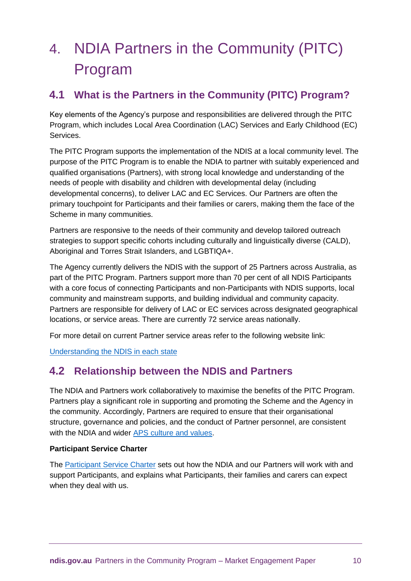# 4. NDIA Partners in the Community (PITC) Program

# **4.1 What is the Partners in the Community (PITC) Program?**

Key elements of the Agency's purpose and responsibilities are delivered through the PITC Program, which includes Local Area Coordination (LAC) Services and Early Childhood (EC) Services.

The PITC Program supports the implementation of the NDIS at a local community level. The purpose of the PITC Program is to enable the NDIA to partner with suitably experienced and qualified organisations (Partners), with strong local knowledge and understanding of the needs of people with disability and children with developmental delay (including developmental concerns), to deliver LAC and EC Services. Our Partners are often the primary touchpoint for Participants and their families or carers, making them the face of the Scheme in many communities.

Partners are responsive to the needs of their community and develop tailored outreach strategies to support specific cohorts including culturally and linguistically diverse (CALD), Aboriginal and Torres Strait Islanders, and LGBTIQA+.

The Agency currently delivers the NDIS with the support of 25 Partners across Australia, as part of the PITC Program. Partners support more than 70 per cent of all NDIS Participants with a core focus of connecting Participants and non-Participants with NDIS supports, local community and mainstream supports, and building individual and community capacity. Partners are responsible for delivery of LAC or EC services across designated geographical locations, or service areas. There are currently 72 service areas nationally.

For more detail on current Partner service areas refer to the following website link:

[Understanding the NDIS in each state](https://www.ndis.gov.au/understanding/ndis-each-state)

# **4.2 Relationship between the NDIS and Partners**

The NDIA and Partners work collaboratively to maximise the benefits of the PITC Program. Partners play a significant role in supporting and promoting the Scheme and the Agency in the community. Accordingly, Partners are required to ensure that their organisational structure, governance and policies, and the conduct of Partner personnel, are consistent with the NDIA and wider [APS culture and values.](https://www.apsc.gov.au/sites/default/files/2021-03/aps_code_of_conduct_bookmark_-_pdf_proof.pdf)

# **Participant Service Charter**

The [Participant Service Charter](https://www.ndis.gov.au/about-us/policies/service-charter) sets out how the NDIA and our Partners will work with and support Participants, and explains what Participants, their families and carers can expect when they deal with us.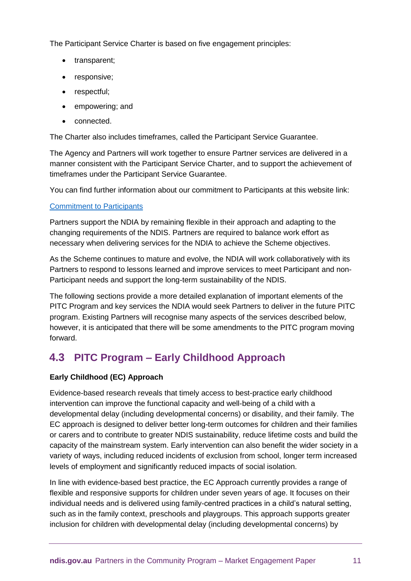The Participant Service Charter is based on five engagement principles:

- transparent;
- responsive;
- respectful;
- empowering; and
- connected.

The Charter also includes timeframes, called the Participant Service Guarantee.

The Agency and Partners will work together to ensure Partner services are delivered in a manner consistent with the Participant Service Charter, and to support the achievement of timeframes under the Participant Service Guarantee.

You can find further information about our commitment to Participants at this website link:

## [Commitment to Participants](https://www.ndis.gov.au/about-us/careers-ndia/our-commitment-participants)

Partners support the NDIA by remaining flexible in their approach and adapting to the changing requirements of the NDIS. Partners are required to balance work effort as necessary when delivering services for the NDIA to achieve the Scheme objectives.

As the Scheme continues to mature and evolve, the NDIA will work collaboratively with its Partners to respond to lessons learned and improve services to meet Participant and non-Participant needs and support the long-term sustainability of the NDIS.

The following sections provide a more detailed explanation of important elements of the PITC Program and key services the NDIA would seek Partners to deliver in the future PITC program. Existing Partners will recognise many aspects of the services described below, however, it is anticipated that there will be some amendments to the PITC program moving forward.

# **4.3 PITC Program – Early Childhood Approach**

# **Early Childhood (EC) Approach**

Evidence-based research reveals that timely access to best-practice early childhood intervention can improve the functional capacity and well-being of a child with a developmental delay (including developmental concerns) or disability, and their family. The EC approach is designed to deliver better long-term outcomes for children and their families or carers and to contribute to greater NDIS sustainability, reduce lifetime costs and build the capacity of the mainstream system. Early intervention can also benefit the wider society in a variety of ways, including reduced incidents of exclusion from school, longer term increased levels of employment and significantly reduced impacts of social isolation.

In line with evidence-based best practice, the EC Approach currently provides a range of flexible and responsive supports for children under seven years of age. It focuses on their individual needs and is delivered using family-centred practices in a child's natural setting, such as in the family context, preschools and playgroups. This approach supports greater inclusion for children with developmental delay (including developmental concerns) by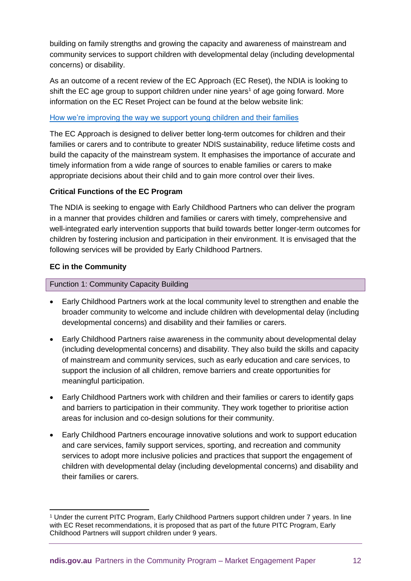building on family strengths and growing the capacity and awareness of mainstream and community services to support children with developmental delay (including developmental concerns) or disability.

As an outcome of a recent review of the EC Approach (EC Reset), the NDIA is looking to shift the EC age group to support children under nine years<sup>1</sup> of age going forward. More information on the EC Reset Project can be found at the below website link:

#### [How we're improving the way we support young children and their families](https://www.ndis.gov.au/community/we-listened/you-said-we-heard-post-consultation-reports/supporting-young-children-and-their-families-early-reach-their-full-potential/how-were-improving-way-we-support-young-children-and-their-families)

The EC Approach is designed to deliver better long-term outcomes for children and their families or carers and to contribute to greater NDIS sustainability, reduce lifetime costs and build the capacity of the mainstream system. It emphasises the importance of accurate and timely information from a wide range of sources to enable families or carers to make appropriate decisions about their child and to gain more control over their lives.

## **Critical Functions of the EC Program**

The NDIA is seeking to engage with Early Childhood Partners who can deliver the program in a manner that provides children and families or carers with timely, comprehensive and well-integrated early intervention supports that build towards better longer-term outcomes for children by fostering inclusion and participation in their environment. It is envisaged that the following services will be provided by Early Childhood Partners.

## **EC in the Community**

-

## Function 1: Community Capacity Building

- Early Childhood Partners work at the local community level to strengthen and enable the broader community to welcome and include children with developmental delay (including developmental concerns) and disability and their families or carers.
- Early Childhood Partners raise awareness in the community about developmental delay (including developmental concerns) and disability. They also build the skills and capacity of mainstream and community services, such as early education and care services, to support the inclusion of all children, remove barriers and create opportunities for meaningful participation.
- Early Childhood Partners work with children and their families or carers to identify gaps and barriers to participation in their community. They work together to prioritise action areas for inclusion and co-design solutions for their community.
- Early Childhood Partners encourage innovative solutions and work to support education and care services, family support services, sporting, and recreation and community services to adopt more inclusive policies and practices that support the engagement of children with developmental delay (including developmental concerns) and disability and their families or carers.

<sup>1</sup> Under the current PITC Program, Early Childhood Partners support children under 7 years. In line with EC Reset recommendations, it is proposed that as part of the future PITC Program, Early Childhood Partners will support children under 9 years.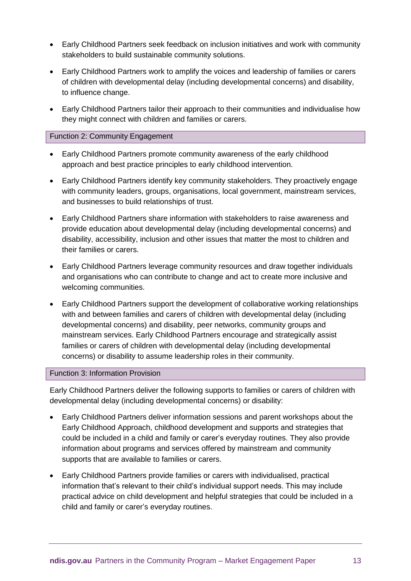- Early Childhood Partners seek feedback on inclusion initiatives and work with community stakeholders to build sustainable community solutions.
- Early Childhood Partners work to amplify the voices and leadership of families or carers of children with developmental delay (including developmental concerns) and disability, to influence change.
- Early Childhood Partners tailor their approach to their communities and individualise how they might connect with children and families or carers.

#### Function 2: Community Engagement

- Early Childhood Partners promote community awareness of the early childhood approach and best practice principles to early childhood intervention.
- Early Childhood Partners identify key community stakeholders. They proactively engage with community leaders, groups, organisations, local government, mainstream services, and businesses to build relationships of trust.
- Early Childhood Partners share information with stakeholders to raise awareness and provide education about developmental delay (including developmental concerns) and disability, accessibility, inclusion and other issues that matter the most to children and their families or carers.
- Early Childhood Partners leverage community resources and draw together individuals and organisations who can contribute to change and act to create more inclusive and welcoming communities.
- Early Childhood Partners support the development of collaborative working relationships with and between families and carers of children with developmental delay (including developmental concerns) and disability, peer networks, community groups and mainstream services. Early Childhood Partners encourage and strategically assist families or carers of children with developmental delay (including developmental concerns) or disability to assume leadership roles in their community.

#### Function 3: Information Provision

Early Childhood Partners deliver the following supports to families or carers of children with developmental delay (including developmental concerns) or disability:

- Early Childhood Partners deliver information sessions and parent workshops about the Early Childhood Approach, childhood development and supports and strategies that could be included in a child and family or carer's everyday routines. They also provide information about programs and services offered by mainstream and community supports that are available to families or carers.
- Early Childhood Partners provide families or carers with individualised, practical information that's relevant to their child's individual support needs. This may include practical advice on child development and helpful strategies that could be included in a child and family or carer's everyday routines.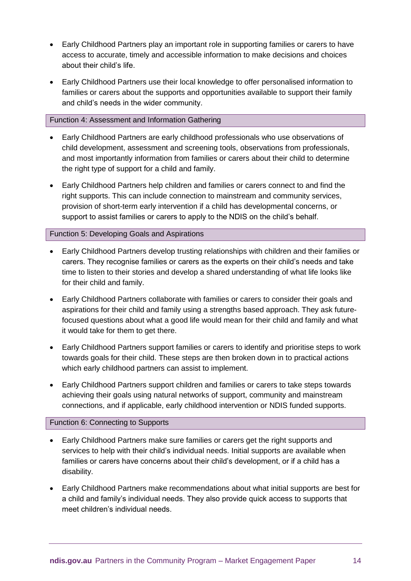- Early Childhood Partners play an important role in supporting families or carers to have access to accurate, timely and accessible information to make decisions and choices about their child's life.
- Early Childhood Partners use their local knowledge to offer personalised information to families or carers about the supports and opportunities available to support their family and child's needs in the wider community.

#### Function 4: Assessment and Information Gathering

- Early Childhood Partners are early childhood professionals who use observations of child development, assessment and screening tools, observations from professionals, and most importantly information from families or carers about their child to determine the right type of support for a child and family.
- Early Childhood Partners help children and families or carers connect to and find the right supports. This can include connection to mainstream and community services, provision of short-term early intervention if a child has developmental concerns, or support to assist families or carers to apply to the NDIS on the child's behalf.

#### Function 5: Developing Goals and Aspirations

- Early Childhood Partners develop trusting relationships with children and their families or carers. They recognise families or carers as the experts on their child's needs and take time to listen to their stories and develop a shared understanding of what life looks like for their child and family.
- Early Childhood Partners collaborate with families or carers to consider their goals and aspirations for their child and family using a strengths based approach. They ask futurefocused questions about what a good life would mean for their child and family and what it would take for them to get there.
- Early Childhood Partners support families or carers to identify and prioritise steps to work towards goals for their child. These steps are then broken down in to practical actions which early childhood partners can assist to implement.
- Early Childhood Partners support children and families or carers to take steps towards achieving their goals using natural networks of support, community and mainstream connections, and if applicable, early childhood intervention or NDIS funded supports.

#### Function 6: Connecting to Supports

- Early Childhood Partners make sure families or carers get the right supports and services to help with their child's individual needs. Initial supports are available when families or carers have concerns about their child's development, or if a child has a disability.
- Early Childhood Partners make recommendations about what initial supports are best for a child and family's individual needs. They also provide quick access to supports that meet children's individual needs.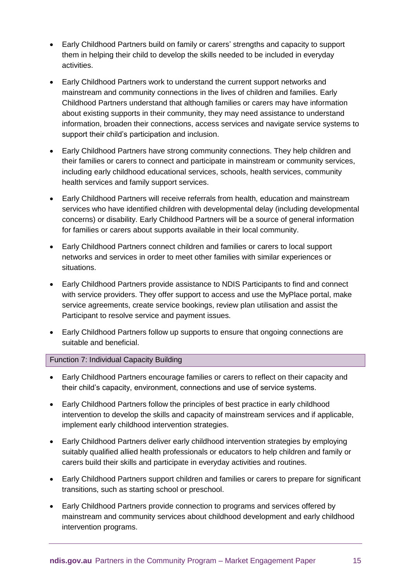- Early Childhood Partners build on family or carers' strengths and capacity to support them in helping their child to develop the skills needed to be included in everyday activities.
- Early Childhood Partners work to understand the current support networks and mainstream and community connections in the lives of children and families. Early Childhood Partners understand that although families or carers may have information about existing supports in their community, they may need assistance to understand information, broaden their connections, access services and navigate service systems to support their child's participation and inclusion.
- Early Childhood Partners have strong community connections. They help children and their families or carers to connect and participate in mainstream or community services, including early childhood educational services, schools, health services, community health services and family support services.
- Early Childhood Partners will receive referrals from health, education and mainstream services who have identified children with developmental delay (including developmental concerns) or disability. Early Childhood Partners will be a source of general information for families or carers about supports available in their local community.
- Early Childhood Partners connect children and families or carers to local support networks and services in order to meet other families with similar experiences or situations.
- Early Childhood Partners provide assistance to NDIS Participants to find and connect with service providers. They offer support to access and use the MyPlace portal, make service agreements, create service bookings, review plan utilisation and assist the Participant to resolve service and payment issues.
- Early Childhood Partners follow up supports to ensure that ongoing connections are suitable and beneficial.

#### Function 7: Individual Capacity Building

- Early Childhood Partners encourage families or carers to reflect on their capacity and their child's capacity, environment, connections and use of service systems.
- Early Childhood Partners follow the principles of best practice in early childhood intervention to develop the skills and capacity of mainstream services and if applicable, implement early childhood intervention strategies.
- Early Childhood Partners deliver early childhood intervention strategies by employing suitably qualified allied health professionals or educators to help children and family or carers build their skills and participate in everyday activities and routines.
- Early Childhood Partners support children and families or carers to prepare for significant transitions, such as starting school or preschool.
- Early Childhood Partners provide connection to programs and services offered by mainstream and community services about childhood development and early childhood intervention programs.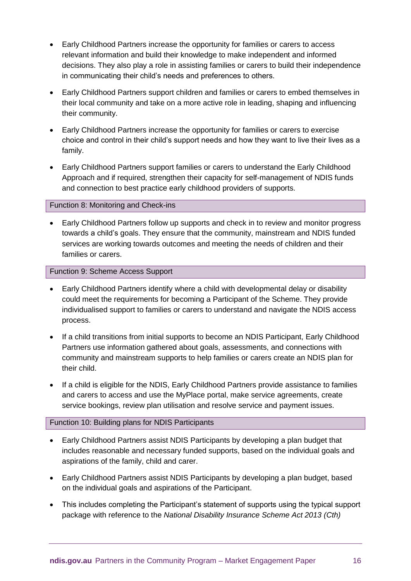- Early Childhood Partners increase the opportunity for families or carers to access relevant information and build their knowledge to make independent and informed decisions. They also play a role in assisting families or carers to build their independence in communicating their child's needs and preferences to others.
- Early Childhood Partners support children and families or carers to embed themselves in their local community and take on a more active role in leading, shaping and influencing their community.
- Early Childhood Partners increase the opportunity for families or carers to exercise choice and control in their child's support needs and how they want to live their lives as a family.
- Early Childhood Partners support families or carers to understand the Early Childhood Approach and if required, strengthen their capacity for self-management of NDIS funds and connection to best practice early childhood providers of supports.

#### Function 8: Monitoring and Check-ins

 Early Childhood Partners follow up supports and check in to review and monitor progress towards a child's goals. They ensure that the community, mainstream and NDIS funded services are working towards outcomes and meeting the needs of children and their families or carers.

#### Function 9: Scheme Access Support

- Early Childhood Partners identify where a child with developmental delay or disability could meet the requirements for becoming a Participant of the Scheme. They provide individualised support to families or carers to understand and navigate the NDIS access process.
- If a child transitions from initial supports to become an NDIS Participant, Early Childhood Partners use information gathered about goals, assessments, and connections with community and mainstream supports to help families or carers create an NDIS plan for their child.
- If a child is eligible for the NDIS, Early Childhood Partners provide assistance to families and carers to access and use the MyPlace portal, make service agreements, create service bookings, review plan utilisation and resolve service and payment issues.

#### Function 10: Building plans for NDIS Participants

- Early Childhood Partners assist NDIS Participants by developing a plan budget that includes reasonable and necessary funded supports, based on the individual goals and aspirations of the family, child and carer.
- Early Childhood Partners assist NDIS Participants by developing a plan budget, based on the individual goals and aspirations of the Participant.
- This includes completing the Participant's statement of supports using the typical support package with reference to the *National Disability Insurance Scheme Act 2013 (Cth)*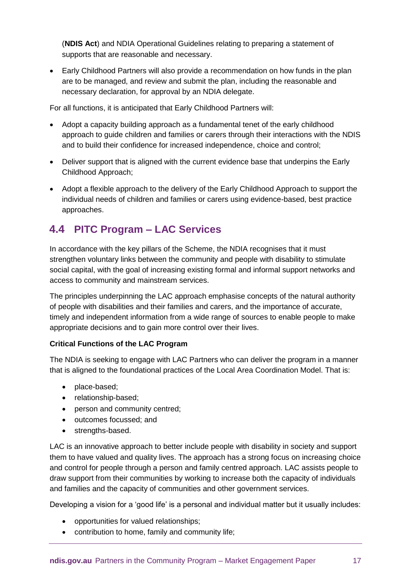(**NDIS Act**) and NDIA Operational Guidelines relating to preparing a statement of supports that are reasonable and necessary.

 Early Childhood Partners will also provide a recommendation on how funds in the plan are to be managed, and review and submit the plan, including the reasonable and necessary declaration, for approval by an NDIA delegate.

For all functions, it is anticipated that Early Childhood Partners will:

- Adopt a capacity building approach as a fundamental tenet of the early childhood approach to guide children and families or carers through their interactions with the NDIS and to build their confidence for increased independence, choice and control;
- Deliver support that is aligned with the current evidence base that underpins the Early Childhood Approach;
- Adopt a flexible approach to the delivery of the Early Childhood Approach to support the individual needs of children and families or carers using evidence-based, best practice approaches.

# **4.4 PITC Program – LAC Services**

In accordance with the key pillars of the Scheme, the NDIA recognises that it must strengthen voluntary links between the community and people with disability to stimulate social capital, with the goal of increasing existing formal and informal support networks and access to community and mainstream services.

The principles underpinning the LAC approach emphasise concepts of the natural authority of people with disabilities and their families and carers, and the importance of accurate, timely and independent information from a wide range of sources to enable people to make appropriate decisions and to gain more control over their lives.

# **Critical Functions of the LAC Program**

The NDIA is seeking to engage with LAC Partners who can deliver the program in a manner that is aligned to the foundational practices of the Local Area Coordination Model. That is:

- place-based;
- relationship-based;
- person and community centred:
- outcomes focussed; and
- strengths-based.

LAC is an innovative approach to better include people with disability in society and support them to have valued and quality lives. The approach has a strong focus on increasing choice and control for people through a person and family centred approach. LAC assists people to draw support from their communities by working to increase both the capacity of individuals and families and the capacity of communities and other government services.

Developing a vision for a 'good life' is a personal and individual matter but it usually includes:

- opportunities for valued relationships;
- contribution to home, family and community life;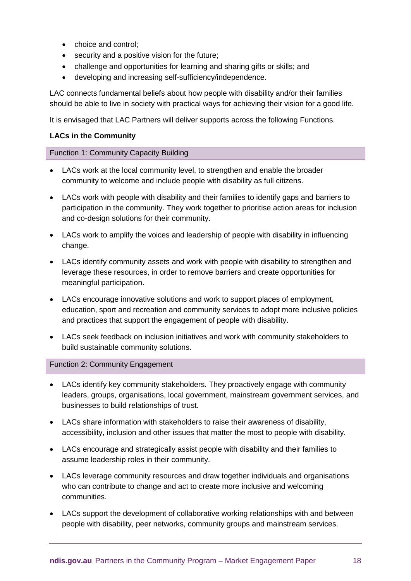- choice and control:
- security and a positive vision for the future;
- challenge and opportunities for learning and sharing gifts or skills; and
- developing and increasing self-sufficiency/independence.

LAC connects fundamental beliefs about how people with disability and/or their families should be able to live in society with practical ways for achieving their vision for a good life.

It is envisaged that LAC Partners will deliver supports across the following Functions.

#### **LACs in the Community**

#### Function 1: Community Capacity Building

- LACs work at the local community level, to strengthen and enable the broader community to welcome and include people with disability as full citizens.
- LACs work with people with disability and their families to identify gaps and barriers to participation in the community. They work together to prioritise action areas for inclusion and co-design solutions for their community.
- LACs work to amplify the voices and leadership of people with disability in influencing change.
- LACs identify community assets and work with people with disability to strengthen and leverage these resources, in order to remove barriers and create opportunities for meaningful participation.
- LACs encourage innovative solutions and work to support places of employment, education, sport and recreation and community services to adopt more inclusive policies and practices that support the engagement of people with disability.
- LACs seek feedback on inclusion initiatives and work with community stakeholders to build sustainable community solutions.

#### Function 2: Community Engagement

- LACs identify key community stakeholders. They proactively engage with community leaders, groups, organisations, local government, mainstream government services, and businesses to build relationships of trust.
- LACs share information with stakeholders to raise their awareness of disability, accessibility, inclusion and other issues that matter the most to people with disability.
- LACs encourage and strategically assist people with disability and their families to assume leadership roles in their community.
- LACs leverage community resources and draw together individuals and organisations who can contribute to change and act to create more inclusive and welcoming communities.
- LACs support the development of collaborative working relationships with and between people with disability, peer networks, community groups and mainstream services.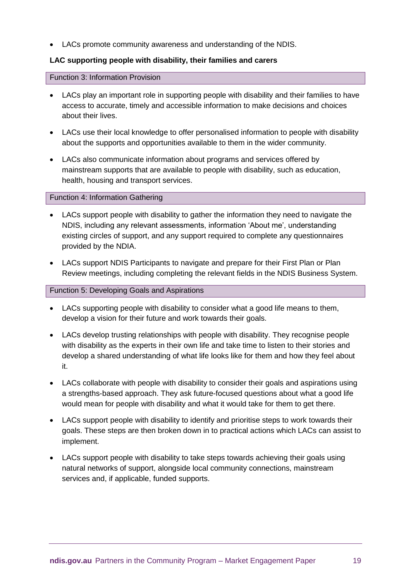LACs promote community awareness and understanding of the NDIS.

## **LAC supporting people with disability, their families and carers**

Function 3: Information Provision

- LACs play an important role in supporting people with disability and their families to have access to accurate, timely and accessible information to make decisions and choices about their lives.
- LACs use their local knowledge to offer personalised information to people with disability about the supports and opportunities available to them in the wider community.
- LACs also communicate information about programs and services offered by mainstream supports that are available to people with disability, such as education, health, housing and transport services.

#### Function 4: Information Gathering

- LACs support people with disability to gather the information they need to navigate the NDIS, including any relevant assessments, information 'About me', understanding existing circles of support, and any support required to complete any questionnaires provided by the NDIA.
- LACs support NDIS Participants to navigate and prepare for their First Plan or Plan Review meetings, including completing the relevant fields in the NDIS Business System.

#### Function 5: Developing Goals and Aspirations

- LACs supporting people with disability to consider what a good life means to them, develop a vision for their future and work towards their goals.
- LACs develop trusting relationships with people with disability. They recognise people with disability as the experts in their own life and take time to listen to their stories and develop a shared understanding of what life looks like for them and how they feel about it.
- LACs collaborate with people with disability to consider their goals and aspirations using a strengths-based approach. They ask future-focused questions about what a good life would mean for people with disability and what it would take for them to get there.
- LACs support people with disability to identify and prioritise steps to work towards their goals. These steps are then broken down in to practical actions which LACs can assist to implement.
- LACs support people with disability to take steps towards achieving their goals using natural networks of support, alongside local community connections, mainstream services and, if applicable, funded supports.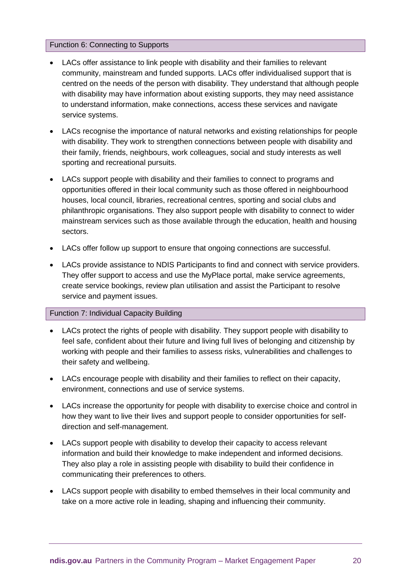#### Function 6: Connecting to Supports

- LACs offer assistance to link people with disability and their families to relevant community, mainstream and funded supports. LACs offer individualised support that is centred on the needs of the person with disability. They understand that although people with disability may have information about existing supports, they may need assistance to understand information, make connections, access these services and navigate service systems.
- LACs recognise the importance of natural networks and existing relationships for people with disability. They work to strengthen connections between people with disability and their family, friends, neighbours, work colleagues, social and study interests as well sporting and recreational pursuits.
- LACs support people with disability and their families to connect to programs and opportunities offered in their local community such as those offered in neighbourhood houses, local council, libraries, recreational centres, sporting and social clubs and philanthropic organisations. They also support people with disability to connect to wider mainstream services such as those available through the education, health and housing sectors.
- LACs offer follow up support to ensure that ongoing connections are successful.
- LACs provide assistance to NDIS Participants to find and connect with service providers. They offer support to access and use the MyPlace portal, make service agreements, create service bookings, review plan utilisation and assist the Participant to resolve service and payment issues.

#### Function 7: Individual Capacity Building

- LACs protect the rights of people with disability. They support people with disability to feel safe, confident about their future and living full lives of belonging and citizenship by working with people and their families to assess risks, vulnerabilities and challenges to their safety and wellbeing.
- LACs encourage people with disability and their families to reflect on their capacity, environment, connections and use of service systems.
- LACs increase the opportunity for people with disability to exercise choice and control in how they want to live their lives and support people to consider opportunities for selfdirection and self-management.
- LACs support people with disability to develop their capacity to access relevant information and build their knowledge to make independent and informed decisions. They also play a role in assisting people with disability to build their confidence in communicating their preferences to others.
- LACs support people with disability to embed themselves in their local community and take on a more active role in leading, shaping and influencing their community.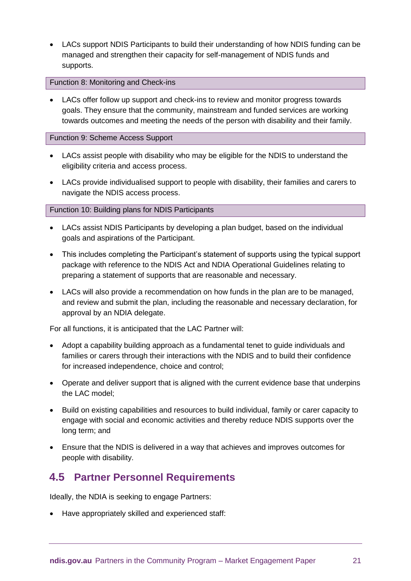LACs support NDIS Participants to build their understanding of how NDIS funding can be managed and strengthen their capacity for self-management of NDIS funds and supports.

#### Function 8: Monitoring and Check-ins

 LACs offer follow up support and check-ins to review and monitor progress towards goals. They ensure that the community, mainstream and funded services are working towards outcomes and meeting the needs of the person with disability and their family.

#### Function 9: Scheme Access Support

- LACs assist people with disability who may be eligible for the NDIS to understand the eligibility criteria and access process.
- LACs provide individualised support to people with disability, their families and carers to navigate the NDIS access process.

#### Function 10: Building plans for NDIS Participants

- LACs assist NDIS Participants by developing a plan budget, based on the individual goals and aspirations of the Participant.
- This includes completing the Participant's statement of supports using the typical support package with reference to the NDIS Act and NDIA Operational Guidelines relating to preparing a statement of supports that are reasonable and necessary.
- LACs will also provide a recommendation on how funds in the plan are to be managed, and review and submit the plan, including the reasonable and necessary declaration, for approval by an NDIA delegate.

For all functions, it is anticipated that the LAC Partner will:

- Adopt a capability building approach as a fundamental tenet to guide individuals and families or carers through their interactions with the NDIS and to build their confidence for increased independence, choice and control;
- Operate and deliver support that is aligned with the current evidence base that underpins the LAC model;
- Build on existing capabilities and resources to build individual, family or carer capacity to engage with social and economic activities and thereby reduce NDIS supports over the long term; and
- Ensure that the NDIS is delivered in a way that achieves and improves outcomes for people with disability.

# **4.5 Partner Personnel Requirements**

Ideally, the NDIA is seeking to engage Partners:

Have appropriately skilled and experienced staff: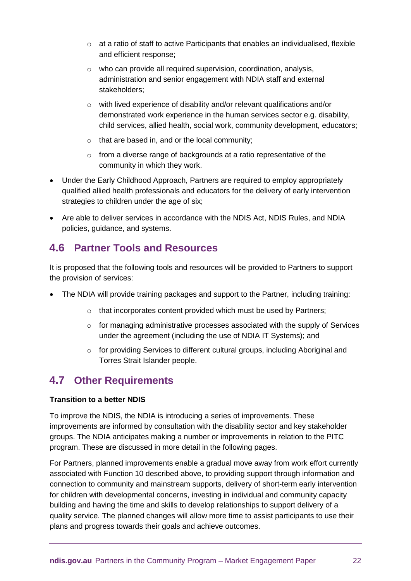- $\circ$  at a ratio of staff to active Participants that enables an individualised, flexible and efficient response;
- o who can provide all required supervision, coordination, analysis, administration and senior engagement with NDIA staff and external stakeholders;
- o with lived experience of disability and/or relevant qualifications and/or demonstrated work experience in the human services sector e.g. disability, child services, allied health, social work, community development, educators;
- $\circ$  that are based in, and or the local community;
- o from a diverse range of backgrounds at a ratio representative of the community in which they work.
- Under the Early Childhood Approach, Partners are required to employ appropriately qualified allied health professionals and educators for the delivery of early intervention strategies to children under the age of six;
- Are able to deliver services in accordance with the NDIS Act, NDIS Rules, and NDIA policies, guidance, and systems.

# **4.6 Partner Tools and Resources**

It is proposed that the following tools and resources will be provided to Partners to support the provision of services:

- The NDIA will provide training packages and support to the Partner, including training:
	- o that incorporates content provided which must be used by Partners;
	- $\circ$  for managing administrative processes associated with the supply of Services under the agreement (including the use of NDIA IT Systems); and
	- o for providing Services to different cultural groups, including Aboriginal and Torres Strait Islander people.

# **4.7 Other Requirements**

# **Transition to a better NDIS**

To improve the NDIS, the NDIA is introducing a series of improvements. These improvements are informed by consultation with the disability sector and key stakeholder groups. The NDIA anticipates making a number or improvements in relation to the PITC program. These are discussed in more detail in the following pages.

For Partners, planned improvements enable a gradual move away from work effort currently associated with Function 10 described above, to providing support through information and connection to community and mainstream supports, delivery of short-term early intervention for children with developmental concerns, investing in individual and community capacity building and having the time and skills to develop relationships to support delivery of a quality service. The planned changes will allow more time to assist participants to use their plans and progress towards their goals and achieve outcomes.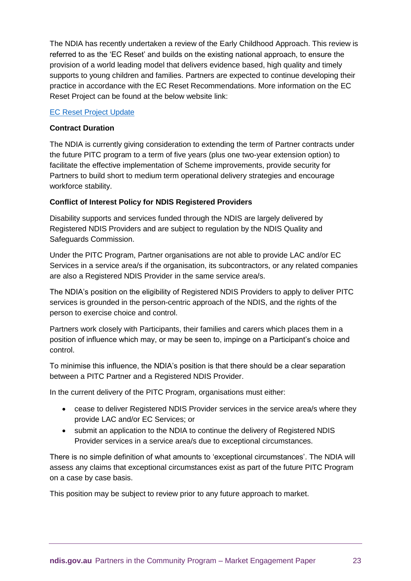The NDIA has recently undertaken a review of the Early Childhood Approach. This review is referred to as the 'EC Reset' and builds on the existing national approach, to ensure the provision of a world leading model that delivers evidence based, high quality and timely supports to young children and families. Partners are expected to continue developing their practice in accordance with the EC Reset Recommendations. More information on the EC Reset Project can be found at the below website link:

#### [EC Reset Project Update](https://www.ndis.gov.au/community/we-listened/you-said-we-heard-post-consultation-reports/supporting-young-children-and-their-families-early-reach-their-full-potential/how-were-improving-way-we-support-young-children-and-their-families)

#### **Contract Duration**

The NDIA is currently giving consideration to extending the term of Partner contracts under the future PITC program to a term of five years (plus one two-year extension option) to facilitate the effective implementation of Scheme improvements, provide security for Partners to build short to medium term operational delivery strategies and encourage workforce stability.

## **Conflict of Interest Policy for NDIS Registered Providers**

Disability supports and services funded through the NDIS are largely delivered by Registered NDIS Providers and are subject to regulation by the NDIS Quality and Safeguards Commission.

Under the PITC Program, Partner organisations are not able to provide LAC and/or EC Services in a service area/s if the organisation, its subcontractors, or any related companies are also a Registered NDIS Provider in the same service area/s.

The NDIA's position on the eligibility of Registered NDIS Providers to apply to deliver PITC services is grounded in the person-centric approach of the NDIS, and the rights of the person to exercise choice and control.

Partners work closely with Participants, their families and carers which places them in a position of influence which may, or may be seen to, impinge on a Participant's choice and control.

To minimise this influence, the NDIA's position is that there should be a clear separation between a PITC Partner and a Registered NDIS Provider.

In the current delivery of the PITC Program, organisations must either:

- cease to deliver Registered NDIS Provider services in the service area/s where they provide LAC and/or EC Services; or
- submit an application to the NDIA to continue the delivery of Registered NDIS Provider services in a service area/s due to exceptional circumstances.

There is no simple definition of what amounts to 'exceptional circumstances'. The NDIA will assess any claims that exceptional circumstances exist as part of the future PITC Program on a case by case basis.

This position may be subject to review prior to any future approach to market.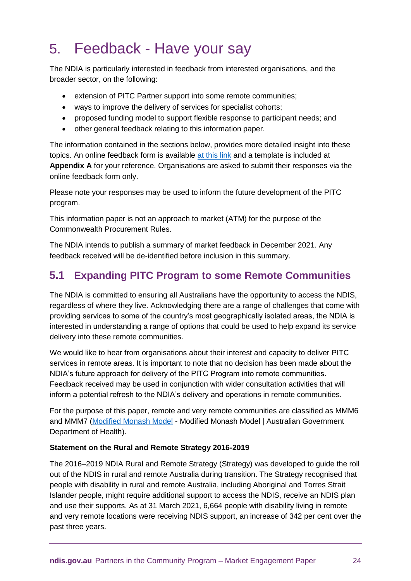# 5. Feedback - Have your say

The NDIA is particularly interested in feedback from interested organisations, and the broader sector, on the following:

- extension of PITC Partner support into some remote communities;
- ways to improve the delivery of services for specialist cohorts;
- proposed funding model to support flexible response to participant needs; and
- other general feedback relating to this information paper.

The information contained in the sections below, provides more detailed insight into these topics. An online feedback form is available [at this link](https://myform.apps.ndia.gov.au/?src=https://forms.apps.ndia.gov.au/jpgbthlbzknpuvv/marketengagementsurvey&org=ndis&theme=ndis) and a template is included at **Appendix A** for your reference. Organisations are asked to submit their responses via the online feedback form only.

Please note your responses may be used to inform the future development of the PITC program.

This information paper is not an approach to market (ATM) for the purpose of the Commonwealth Procurement Rules.

The NDIA intends to publish a summary of market feedback in December 2021. Any feedback received will be de-identified before inclusion in this summary.

# **5.1 Expanding PITC Program to some Remote Communities**

The NDIA is committed to ensuring all Australians have the opportunity to access the NDIS, regardless of where they live. Acknowledging there are a range of challenges that come with providing services to some of the country's most geographically isolated areas, the NDIA is interested in understanding a range of options that could be used to help expand its service delivery into these remote communities.

We would like to hear from organisations about their interest and capacity to deliver PITC services in remote areas. It is important to note that no decision has been made about the NDIA's future approach for delivery of the PITC Program into remote communities. Feedback received may be used in conjunction with wider consultation activities that will inform a potential refresh to the NDIA's delivery and operations in remote communities.

For the purpose of this paper, remote and very remote communities are classified as MMM6 and MMM7 [\(Modified Monash Model](https://www.health.gov.au/resources/publications/modified-monash-model-fact-sheet) - [Modified Monash Model | Australian Government](https://www.health.gov.au/health-topics/health-workforce/health-workforce-classifications/modified-monash-model#:~:text=What%20is%20the%20Modified%20Monash%20Model%3F%20The%20Modified,major%20city%20and%20MM%207%20is%20very%20remote.)  [Department of Health\)](https://www.health.gov.au/health-topics/health-workforce/health-workforce-classifications/modified-monash-model#:~:text=What%20is%20the%20Modified%20Monash%20Model%3F%20The%20Modified,major%20city%20and%20MM%207%20is%20very%20remote.).

# **Statement on the Rural and Remote Strategy 2016-2019**

The 2016–2019 NDIA Rural and Remote Strategy (Strategy) was developed to guide the roll out of the NDIS in rural and remote Australia during transition. The Strategy recognised that people with disability in rural and remote Australia, including Aboriginal and Torres Strait Islander people, might require additional support to access the NDIS, receive an NDIS plan and use their supports. As at 31 March 2021, 6,664 people with disability living in remote and very remote locations were receiving NDIS support, an increase of 342 per cent over the past three years.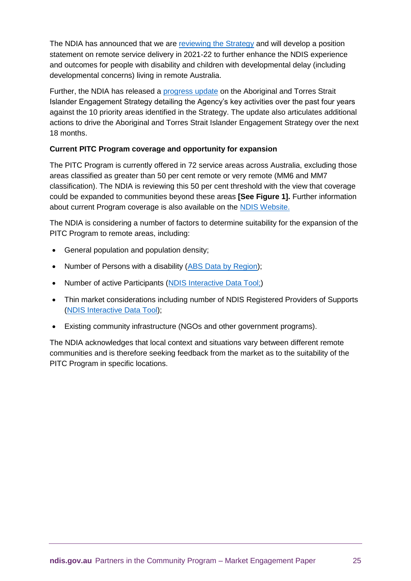The NDIA has announced that we are [reviewing the Strategy](https://www.ndis.gov.au/about-us/strategies/rural-and-remote-strategy) and will develop a position statement on remote service delivery in 2021-22 to further enhance the NDIS experience and outcomes for people with disability and children with developmental delay (including developmental concerns) living in remote Australia.

Further, the NDIA has released a [progress update](https://www.ndis.gov.au/about-us/strategies/aboriginal-and-torres-strait-islander-strategy) on the Aboriginal and Torres Strait Islander Engagement Strategy detailing the Agency's key activities over the past four years against the 10 priority areas identified in the Strategy. The update also articulates additional actions to drive the Aboriginal and Torres Strait Islander Engagement Strategy over the next 18 months.

# **Current PITC Program coverage and opportunity for expansion**

The PITC Program is currently offered in 72 service areas across Australia, excluding those areas classified as greater than 50 per cent remote or very remote (MM6 and MM7 classification). The NDIA is reviewing this 50 per cent threshold with the view that coverage could be expanded to communities beyond these areas **[See Figure 1].** Further information about current Program coverage is also available on the [NDIS Website.](https://www.ndis.gov.au/understanding/ndis-each-state)

The NDIA is considering a number of factors to determine suitability for the expansion of the PITC Program to remote areas, including:

- General population and population density;
- Number of Persons with a disability [\(ABS Data by Region\)](https://dbr.abs.gov.au/);
- Number of active Participants [\(NDIS Interactive Data Tool;](https://data.ndis.gov.au/explore-data))
- Thin market considerations including number of NDIS Registered Providers of Supports [\(NDIS Interactive Data Tool\)](https://data.ndis.gov.au/explore-data);
- Existing community infrastructure (NGOs and other government programs).

The NDIA acknowledges that local context and situations vary between different remote communities and is therefore seeking feedback from the market as to the suitability of the PITC Program in specific locations.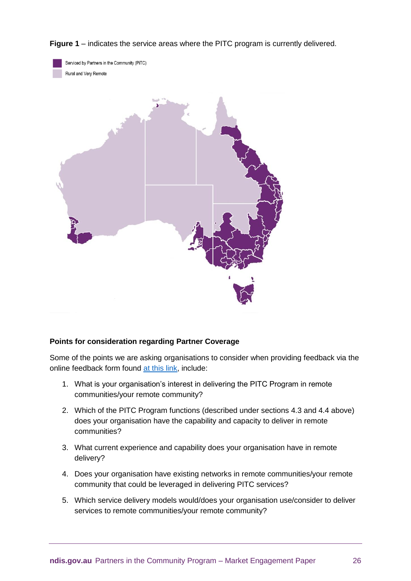**Figure 1** – indicates the service areas where the PITC program is currently delivered.



Serviced by Partners in the Community (PiTC) Rural and Very Remote



#### **Points for consideration regarding Partner Coverage**

Some of the points we are asking organisations to consider when providing feedback via the online feedback form found [at this link,](https://myform.apps.ndia.gov.au/?src=https://forms.apps.ndia.gov.au/jpgbthlbzknpuvv/marketengagementsurvey&org=ndis&theme=ndis) include:

- 1. What is your organisation's interest in delivering the PITC Program in remote communities/your remote community?
- 2. Which of the PITC Program functions (described under sections 4.3 and 4.4 above) does your organisation have the capability and capacity to deliver in remote communities?
- 3. What current experience and capability does your organisation have in remote delivery?
- 4. Does your organisation have existing networks in remote communities/your remote community that could be leveraged in delivering PITC services?
- 5. Which service delivery models would/does your organisation use/consider to deliver services to remote communities/your remote community?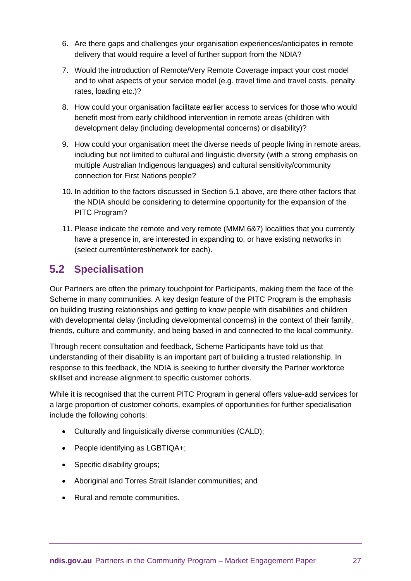- 6. Are there gaps and challenges your organisation experiences/anticipates in remote delivery that would require a level of further support from the NDIA?
- 7. Would the introduction of Remote/Very Remote Coverage impact your cost model and to what aspects of your service model (e.g. travel time and travel costs, penalty rates, loading etc.)?
- 8. How could your organisation facilitate earlier access to services for those who would benefit most from early childhood intervention in remote areas (children with development delay (including developmental concerns) or disability)?
- 9. How could your organisation meet the diverse needs of people living in remote areas, including but not limited to cultural and linguistic diversity (with a strong emphasis on multiple Australian Indigenous languages) and cultural sensitivity/community connection for First Nations people?
- 10. In addition to the factors discussed in Section 5.1 above, are there other factors that the NDIA should be considering to determine opportunity for the expansion of the PITC Program?
- 11. Please indicate the remote and very remote (MMM 6&7) localities that you currently have a presence in, are interested in expanding to, or have existing networks in (select current/interest/network for each).

# **5.2 Specialisation**

Our Partners are often the primary touchpoint for Participants, making them the face of the Scheme in many communities. A key design feature of the PITC Program is the emphasis on building trusting relationships and getting to know people with disabilities and children with developmental delay (including developmental concerns) in the context of their family, friends, culture and community, and being based in and connected to the local community.

Through recent consultation and feedback, Scheme Participants have told us that understanding of their disability is an important part of building a trusted relationship. In response to this feedback, the NDIA is seeking to further diversify the Partner workforce skillset and increase alignment to specific customer cohorts.

While it is recognised that the current PITC Program in general offers value-add services for a large proportion of customer cohorts, examples of opportunities for further specialisation include the following cohorts:

- Culturally and linguistically diverse communities (CALD);
- People identifying as LGBTIQA+;
- Specific disability groups;
- Aboriginal and Torres Strait Islander communities; and
- Rural and remote communities.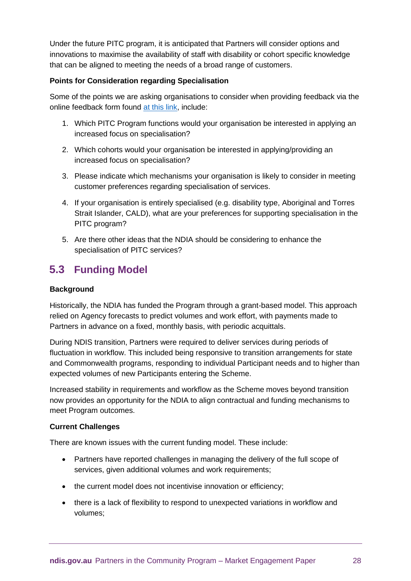Under the future PITC program, it is anticipated that Partners will consider options and innovations to maximise the availability of staff with disability or cohort specific knowledge that can be aligned to meeting the needs of a broad range of customers.

## **Points for Consideration regarding Specialisation**

Some of the points we are asking organisations to consider when providing feedback via the online feedback form found [at this link,](https://myform.apps.ndia.gov.au/?src=https://forms.apps.ndia.gov.au/jpgbthlbzknpuvv/marketengagementsurvey&org=ndis&theme=ndis) include:

- 1. Which PITC Program functions would your organisation be interested in applying an increased focus on specialisation?
- 2. Which cohorts would your organisation be interested in applying/providing an increased focus on specialisation?
- 3. Please indicate which mechanisms your organisation is likely to consider in meeting customer preferences regarding specialisation of services.
- 4. If your organisation is entirely specialised (e.g. disability type, Aboriginal and Torres Strait Islander, CALD), what are your preferences for supporting specialisation in the PITC program?
- 5. Are there other ideas that the NDIA should be considering to enhance the specialisation of PITC services?

# **5.3 Funding Model**

## **Background**

Historically, the NDIA has funded the Program through a grant-based model. This approach relied on Agency forecasts to predict volumes and work effort, with payments made to Partners in advance on a fixed, monthly basis, with periodic acquittals.

During NDIS transition, Partners were required to deliver services during periods of fluctuation in workflow. This included being responsive to transition arrangements for state and Commonwealth programs, responding to individual Participant needs and to higher than expected volumes of new Participants entering the Scheme.

Increased stability in requirements and workflow as the Scheme moves beyond transition now provides an opportunity for the NDIA to align contractual and funding mechanisms to meet Program outcomes.

#### **Current Challenges**

There are known issues with the current funding model. These include:

- Partners have reported challenges in managing the delivery of the full scope of services, given additional volumes and work requirements;
- the current model does not incentivise innovation or efficiency;
- there is a lack of flexibility to respond to unexpected variations in workflow and volumes;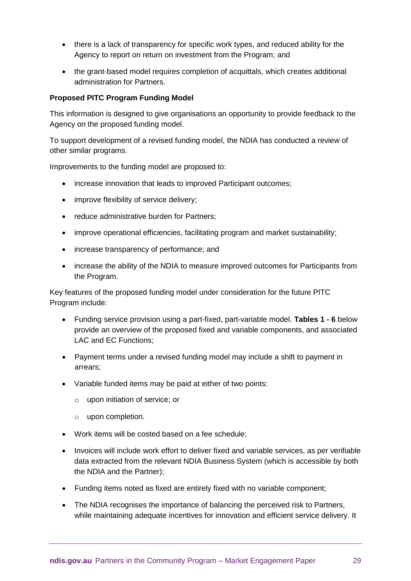- there is a lack of transparency for specific work types, and reduced ability for the Agency to report on return on investment from the Program; and
- the grant-based model requires completion of acquittals, which creates additional administration for Partners.

#### **Proposed PITC Program Funding Model**

This information is designed to give organisations an opportunity to provide feedback to the Agency on the proposed funding model.

To support development of a revised funding model, the NDIA has conducted a review of other similar programs.

Improvements to the funding model are proposed to:

- increase innovation that leads to improved Participant outcomes;
- improve flexibility of service delivery;
- reduce administrative burden for Partners;
- improve operational efficiencies, facilitating program and market sustainability;
- increase transparency of performance; and
- increase the ability of the NDIA to measure improved outcomes for Participants from the Program.

Key features of the proposed funding model under consideration for the future PITC Program include:

- Funding service provision using a part-fixed, part-variable model. **Tables 1 - 6** below provide an overview of the proposed fixed and variable components, and associated LAC and EC Functions;
- Payment terms under a revised funding model may include a shift to payment in arrears;
- Variable funded items may be paid at either of two points:
	- o upon initiation of service; or
	- o upon completion.
- Work items will be costed based on a fee schedule;
- Invoices will include work effort to deliver fixed and variable services, as per verifiable data extracted from the relevant NDIA Business System (which is accessible by both the NDIA and the Partner);
- Funding items noted as fixed are entirely fixed with no variable component;
- The NDIA recognises the importance of balancing the perceived risk to Partners, while maintaining adequate incentives for innovation and efficient service delivery. It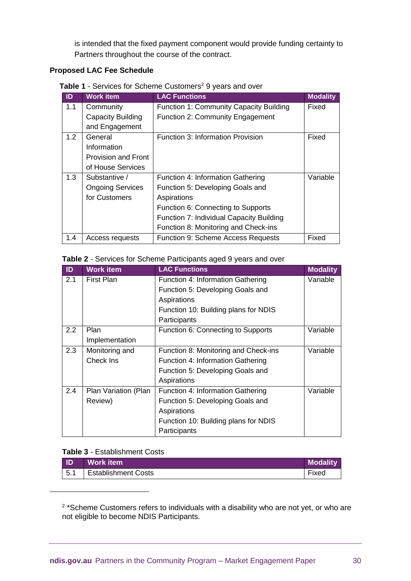is intended that the fixed payment component would provide funding certainty to Partners throughout the course of the contract.

## **Proposed LAC Fee Schedule**

Table 1 - Services for Scheme Customers<sup>2</sup> 9 years and over

| ID  | <b>Work item</b>           | <b>LAC Functions</b>                      | <b>Modality</b> |
|-----|----------------------------|-------------------------------------------|-----------------|
| 1.1 | Community                  | Function 1: Community Capacity Building   | Fixed           |
|     | <b>Capacity Building</b>   | Function 2: Community Engagement          |                 |
|     | and Engagement             |                                           |                 |
| 1.2 | General                    | Function 3: Information Provision         | Fixed           |
|     | Information                |                                           |                 |
|     | <b>Provision and Front</b> |                                           |                 |
|     | of House Services          |                                           |                 |
| 1.3 | Substantive /              | Function 4: Information Gathering         | Variable        |
|     | <b>Ongoing Services</b>    | Function 5: Developing Goals and          |                 |
|     | for Customers              | Aspirations                               |                 |
|     |                            | Function 6: Connecting to Supports        |                 |
|     |                            | Function 7: Individual Capacity Building  |                 |
|     |                            | Function 8: Monitoring and Check-ins      |                 |
| 1.4 | Access requests            | <b>Function 9: Scheme Access Requests</b> | Fixed           |

#### **Table 2** - Services for Scheme Participants aged 9 years and over

| ID  | <b>Work item</b>     | <b>LAC Functions</b>                 | <b>Modality</b> |
|-----|----------------------|--------------------------------------|-----------------|
| 2.1 | <b>First Plan</b>    | Function 4: Information Gathering    | Variable        |
|     |                      | Function 5: Developing Goals and     |                 |
|     |                      | Aspirations                          |                 |
|     |                      | Function 10: Building plans for NDIS |                 |
|     |                      | Participants                         |                 |
| 2.2 | Plan                 | Function 6: Connecting to Supports   | Variable        |
|     | Implementation       |                                      |                 |
| 2.3 | Monitoring and       | Function 8: Monitoring and Check-ins | Variable        |
|     | Check Ins            | Function 4: Information Gathering    |                 |
|     |                      | Function 5: Developing Goals and     |                 |
|     |                      | Aspirations                          |                 |
| 2.4 | Plan Variation (Plan | Function 4: Information Gathering    | Variable        |
|     | Review)              | Function 5: Developing Goals and     |                 |
|     |                      | Aspirations                          |                 |
|     |                      | Function 10: Building plans for NDIS |                 |
|     |                      | Participants                         |                 |

#### **Table 3** - Establishment Costs

-

| <b>ID</b>   | <b>Work item</b>           | <b>Modality</b> |
|-------------|----------------------------|-----------------|
| $\vert 5.1$ | <b>Establishment Costs</b> | Fixed           |

 $2 *$ Scheme Customers refers to individuals with a disability who are not yet, or who are not eligible to become NDIS Participants.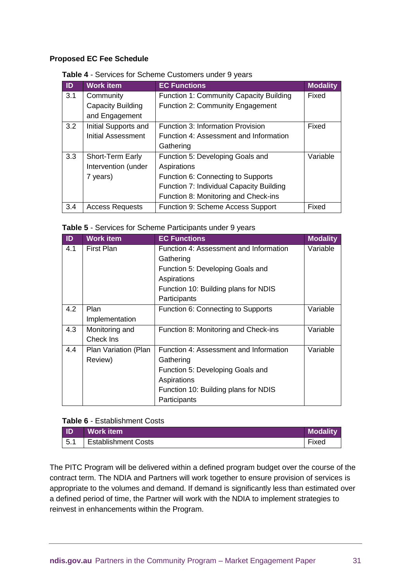#### **Proposed EC Fee Schedule**

#### **Table 4** - Services for Scheme Customers under 9 years

| ID  | <b>Work item</b>         | <b>EC Functions</b>                      | <b>Modality</b> |
|-----|--------------------------|------------------------------------------|-----------------|
| 3.1 | Community                | Function 1: Community Capacity Building  | Fixed           |
|     | <b>Capacity Building</b> | Function 2: Community Engagement         |                 |
|     | and Engagement           |                                          |                 |
| 3.2 | Initial Supports and     | <b>Function 3: Information Provision</b> | Fixed           |
|     | Initial Assessment       | Function 4: Assessment and Information   |                 |
|     |                          | Gathering                                |                 |
| 3.3 | Short-Term Early         | Function 5: Developing Goals and         | Variable        |
|     | Intervention (under      | Aspirations                              |                 |
|     | 7 years)                 | Function 6: Connecting to Supports       |                 |
|     |                          | Function 7: Individual Capacity Building |                 |
|     |                          | Function 8: Monitoring and Check-ins     |                 |
| 3.4 | <b>Access Requests</b>   | Function 9: Scheme Access Support        | Fixed           |

| Table 5 - Services for Scheme Participants under 9 years |
|----------------------------------------------------------|
|----------------------------------------------------------|

| ID  | <b>Work item</b>     | <b>EC Functions</b>                    | <b>Modality</b> |
|-----|----------------------|----------------------------------------|-----------------|
| 4.1 | <b>First Plan</b>    | Function 4: Assessment and Information | Variable        |
|     |                      | Gathering                              |                 |
|     |                      | Function 5: Developing Goals and       |                 |
|     |                      | Aspirations                            |                 |
|     |                      | Function 10: Building plans for NDIS   |                 |
|     |                      | Participants                           |                 |
| 4.2 | Plan                 | Function 6: Connecting to Supports     | Variable        |
|     | Implementation       |                                        |                 |
| 4.3 | Monitoring and       | Function 8: Monitoring and Check-ins   | Variable        |
|     | Check Ins            |                                        |                 |
| 4.4 | Plan Variation (Plan | Function 4: Assessment and Information | Variable        |
|     | Review)              | Gathering                              |                 |
|     |                      | Function 5: Developing Goals and       |                 |
|     |                      | Aspirations                            |                 |
|     |                      | Function 10: Building plans for NDIS   |                 |
|     |                      | Participants                           |                 |

#### **Table 6** - Establishment Costs

| <b>ND</b>   | Work item                  | <b>Modality</b> |
|-------------|----------------------------|-----------------|
| $\vert 5.1$ | <b>Establishment Costs</b> | --<br>Fixed     |

The PITC Program will be delivered within a defined program budget over the course of the contract term. The NDIA and Partners will work together to ensure provision of services is appropriate to the volumes and demand. If demand is significantly less than estimated over a defined period of time, the Partner will work with the NDIA to implement strategies to reinvest in enhancements within the Program.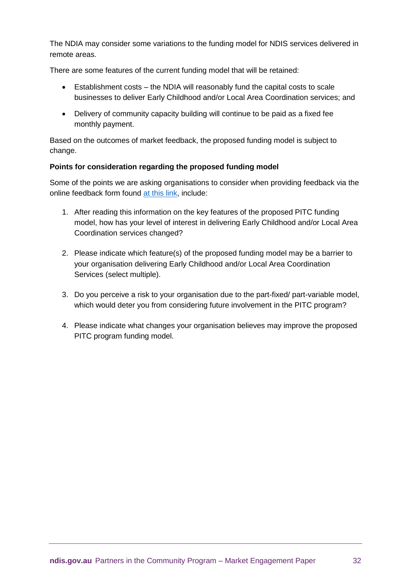The NDIA may consider some variations to the funding model for NDIS services delivered in remote areas.

There are some features of the current funding model that will be retained:

- Establishment costs the NDIA will reasonably fund the capital costs to scale businesses to deliver Early Childhood and/or Local Area Coordination services; and
- Delivery of community capacity building will continue to be paid as a fixed fee monthly payment.

Based on the outcomes of market feedback, the proposed funding model is subject to change.

# **Points for consideration regarding the proposed funding model**

Some of the points we are asking organisations to consider when providing feedback via the online feedback form found [at this link,](https://myform.apps.ndia.gov.au/?src=https://forms.apps.ndia.gov.au/jpgbthlbzknpuvv/marketengagementsurvey&org=ndis&theme=ndis) include:

- 1. After reading this information on the key features of the proposed PITC funding model, how has your level of interest in delivering Early Childhood and/or Local Area Coordination services changed?
- 2. Please indicate which feature(s) of the proposed funding model may be a barrier to your organisation delivering Early Childhood and/or Local Area Coordination Services (select multiple).
- 3. Do you perceive a risk to your organisation due to the part-fixed/ part-variable model, which would deter you from considering future involvement in the PITC program?
- 4. Please indicate what changes your organisation believes may improve the proposed PITC program funding model.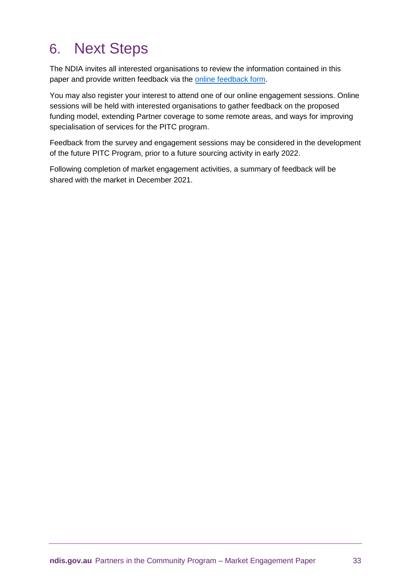# 6. Next Steps

The NDIA invites all interested organisations to review the information contained in this paper and provide written feedback via the [online feedback form.](https://myform.apps.ndia.gov.au/?src=https://forms.apps.ndia.gov.au/jpgbthlbzknpuvv/marketengagementsurvey&org=ndis&theme=ndis)

You may also register your interest to attend one of our online engagement sessions. Online sessions will be held with interested organisations to gather feedback on the proposed funding model, extending Partner coverage to some remote areas, and ways for improving specialisation of services for the PITC program.

Feedback from the survey and engagement sessions may be considered in the development of the future PITC Program, prior to a future sourcing activity in early 2022.

Following completion of market engagement activities, a summary of feedback will be shared with the market in December 2021.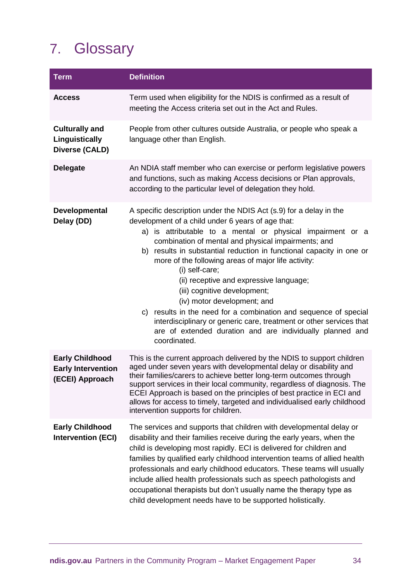# 7. Glossary

| <b>Term</b>                                                            | <b>Definition</b>                                                                                                                                                                                                                                                                                                                                                                                                                                                                                                                                                                                                                                                                                                               |  |
|------------------------------------------------------------------------|---------------------------------------------------------------------------------------------------------------------------------------------------------------------------------------------------------------------------------------------------------------------------------------------------------------------------------------------------------------------------------------------------------------------------------------------------------------------------------------------------------------------------------------------------------------------------------------------------------------------------------------------------------------------------------------------------------------------------------|--|
| <b>Access</b>                                                          | Term used when eligibility for the NDIS is confirmed as a result of<br>meeting the Access criteria set out in the Act and Rules.                                                                                                                                                                                                                                                                                                                                                                                                                                                                                                                                                                                                |  |
| <b>Culturally and</b><br>Linguistically<br><b>Diverse (CALD)</b>       | People from other cultures outside Australia, or people who speak a<br>language other than English.                                                                                                                                                                                                                                                                                                                                                                                                                                                                                                                                                                                                                             |  |
| <b>Delegate</b>                                                        | An NDIA staff member who can exercise or perform legislative powers<br>and functions, such as making Access decisions or Plan approvals,<br>according to the particular level of delegation they hold.                                                                                                                                                                                                                                                                                                                                                                                                                                                                                                                          |  |
| Developmental<br>Delay (DD)                                            | A specific description under the NDIS Act (s.9) for a delay in the<br>development of a child under 6 years of age that:<br>a) is attributable to a mental or physical impairment or a<br>combination of mental and physical impairments; and<br>b) results in substantial reduction in functional capacity in one or<br>more of the following areas of major life activity:<br>(i) self-care;<br>(ii) receptive and expressive language;<br>(iii) cognitive development;<br>(iv) motor development; and<br>c) results in the need for a combination and sequence of special<br>interdisciplinary or generic care, treatment or other services that<br>are of extended duration and are individually planned and<br>coordinated. |  |
| <b>Early Childhood</b><br><b>Early Intervention</b><br>(ECEI) Approach | This is the current approach delivered by the NDIS to support children<br>aged under seven years with developmental delay or disability and<br>their families/carers to achieve better long-term outcomes through<br>support services in their local community, regardless of diagnosis. The<br>ECEI Approach is based on the principles of best practice in ECI and<br>allows for access to timely, targeted and individualised early childhood<br>intervention supports for children.                                                                                                                                                                                                                                         |  |
| <b>Early Childhood</b><br><b>Intervention (ECI)</b>                    | The services and supports that children with developmental delay or<br>disability and their families receive during the early years, when the<br>child is developing most rapidly. ECI is delivered for children and<br>families by qualified early childhood intervention teams of allied health<br>professionals and early childhood educators. These teams will usually<br>include allied health professionals such as speech pathologists and<br>occupational therapists but don't usually name the therapy type as<br>child development needs have to be supported holistically.                                                                                                                                           |  |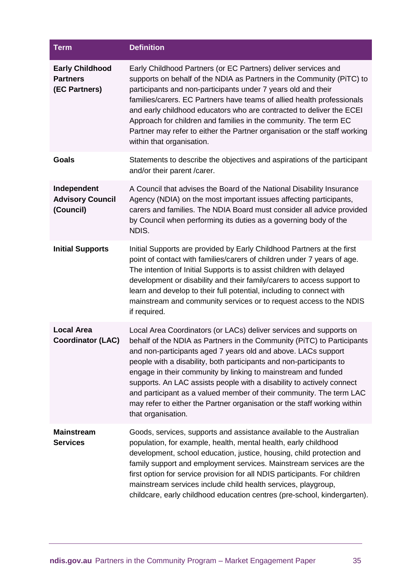| <b>Term</b>                                                | <b>Definition</b>                                                                                                                                                                                                                                                                                                                                                                                                                                                                                                                                                                                       |
|------------------------------------------------------------|---------------------------------------------------------------------------------------------------------------------------------------------------------------------------------------------------------------------------------------------------------------------------------------------------------------------------------------------------------------------------------------------------------------------------------------------------------------------------------------------------------------------------------------------------------------------------------------------------------|
| <b>Early Childhood</b><br><b>Partners</b><br>(EC Partners) | Early Childhood Partners (or EC Partners) deliver services and<br>supports on behalf of the NDIA as Partners in the Community (PiTC) to<br>participants and non-participants under 7 years old and their<br>families/carers. EC Partners have teams of allied health professionals<br>and early childhood educators who are contracted to deliver the ECEI<br>Approach for children and families in the community. The term EC<br>Partner may refer to either the Partner organisation or the staff working<br>within that organisation.                                                                |
| <b>Goals</b>                                               | Statements to describe the objectives and aspirations of the participant<br>and/or their parent /carer.                                                                                                                                                                                                                                                                                                                                                                                                                                                                                                 |
| Independent<br><b>Advisory Council</b><br>(Council)        | A Council that advises the Board of the National Disability Insurance<br>Agency (NDIA) on the most important issues affecting participants,<br>carers and families. The NDIA Board must consider all advice provided<br>by Council when performing its duties as a governing body of the<br>NDIS.                                                                                                                                                                                                                                                                                                       |
| <b>Initial Supports</b>                                    | Initial Supports are provided by Early Childhood Partners at the first<br>point of contact with families/carers of children under 7 years of age.<br>The intention of Initial Supports is to assist children with delayed<br>development or disability and their family/carers to access support to<br>learn and develop to their full potential, including to connect with<br>mainstream and community services or to request access to the NDIS<br>if required.                                                                                                                                       |
| <b>Local Area</b><br><b>Coordinator (LAC)</b>              | Local Area Coordinators (or LACs) deliver services and supports on<br>behalf of the NDIA as Partners in the Community (PiTC) to Participants<br>and non-participants aged 7 years old and above. LACs support<br>people with a disability, both participants and non-participants to<br>engage in their community by linking to mainstream and funded<br>supports. An LAC assists people with a disability to actively connect<br>and participant as a valued member of their community. The term LAC<br>may refer to either the Partner organisation or the staff working within<br>that organisation. |
| <b>Mainstream</b><br><b>Services</b>                       | Goods, services, supports and assistance available to the Australian<br>population, for example, health, mental health, early childhood<br>development, school education, justice, housing, child protection and<br>family support and employment services. Mainstream services are the<br>first option for service provision for all NDIS participants. For children<br>mainstream services include child health services, playgroup,<br>childcare, early childhood education centres (pre-school, kindergarten).                                                                                      |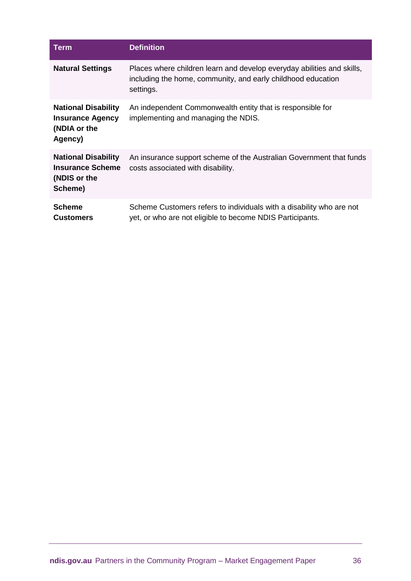| Term                                                                             | <b>Definition</b>                                                                                                                                   |
|----------------------------------------------------------------------------------|-----------------------------------------------------------------------------------------------------------------------------------------------------|
| <b>Natural Settings</b>                                                          | Places where children learn and develop everyday abilities and skills,<br>including the home, community, and early childhood education<br>settings. |
| <b>National Disability</b><br><b>Insurance Agency</b><br>(NDIA or the<br>Agency) | An independent Commonwealth entity that is responsible for<br>implementing and managing the NDIS.                                                   |
| <b>National Disability</b><br><b>Insurance Scheme</b><br>(NDIS or the<br>Scheme) | An insurance support scheme of the Australian Government that funds<br>costs associated with disability.                                            |
| <b>Scheme</b><br><b>Customers</b>                                                | Scheme Customers refers to individuals with a disability who are not<br>yet, or who are not eligible to become NDIS Participants.                   |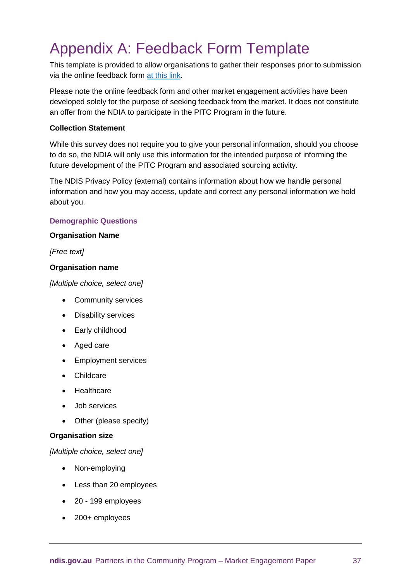# Appendix A: Feedback Form Template

This template is provided to allow organisations to gather their responses prior to submission via the online feedback form [at this link.](https://myform.apps.ndia.gov.au/?src=https://forms.apps.ndia.gov.au/jpgbthlbzknpuvv/marketengagementsurvey&org=ndis&theme=ndis)

Please note the online feedback form and other market engagement activities have been developed solely for the purpose of seeking feedback from the market. It does not constitute an offer from the NDIA to participate in the PITC Program in the future.

#### **Collection Statement**

While this survey does not require you to give your personal information, should you choose to do so, the NDIA will only use this information for the intended purpose of informing the future development of the PITC Program and associated sourcing activity.

The NDIS Privacy Policy (external) contains information about how we handle personal information and how you may access, update and correct any personal information we hold about you.

# **Demographic Questions**

#### **Organisation Name**

#### *[Free text]*

## **Organisation name**

*[Multiple choice, select one]*

- Community services
- Disability services
- Early childhood
- Aged care
- Employment services
- Childcare
- Healthcare
- Job services
- Other (please specify)

#### **Organisation size**

*[Multiple choice, select one]*

- Non-employing
- Less than 20 employees
- 20 199 employees
- 200+ employees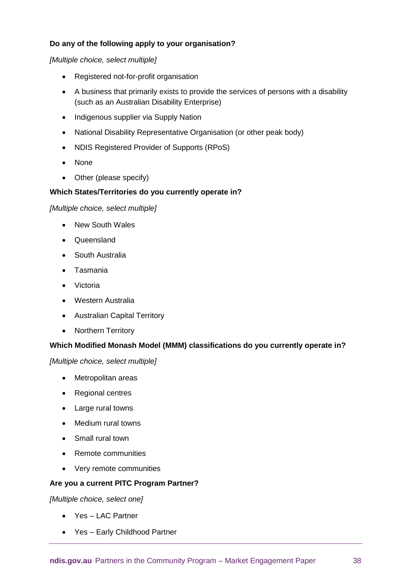# **Do any of the following apply to your organisation?**

*[Multiple choice, select multiple]*

- Registered not-for-profit organisation
- A business that primarily exists to provide the services of persons with a disability (such as an Australian Disability Enterprise)
- Indigenous supplier via Supply Nation
- National Disability Representative Organisation (or other peak body)
- NDIS Registered Provider of Supports (RPoS)
- None
- Other (please specify)

## **Which States/Territories do you currently operate in?**

#### *[Multiple choice, select multiple]*

- New South Wales
- Queensland
- South Australia
- Tasmania
- Victoria
- Western Australia
- Australian Capital Territory
- Northern Territory

# **Which Modified Monash Model (MMM) classifications do you currently operate in?**

*[Multiple choice, select multiple]*

- Metropolitan areas
- Regional centres
- Large rural towns
- Medium rural towns
- Small rural town
- Remote communities
- Very remote communities

#### **Are you a current PITC Program Partner?**

*[Multiple choice, select one]*

- Yes LAC Partner
- Yes Early Childhood Partner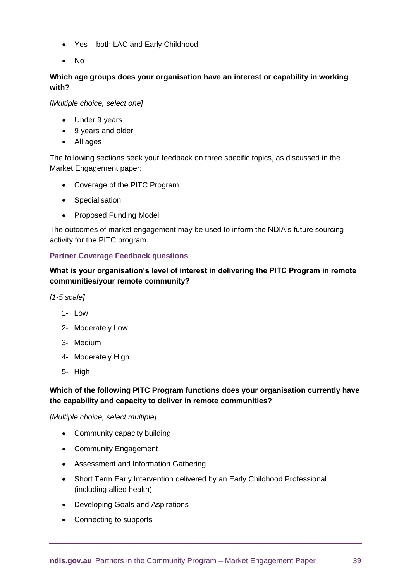- Yes both LAC and Early Childhood
- No

# **Which age groups does your organisation have an interest or capability in working with?**

*[Multiple choice, select one]*

- Under 9 years
- 9 years and older
- All ages

The following sections seek your feedback on three specific topics, as discussed in the Market Engagement paper:

- Coverage of the PITC Program
- Specialisation
- Proposed Funding Model

The outcomes of market engagement may be used to inform the NDIA's future sourcing activity for the PITC program.

## **Partner Coverage Feedback questions**

**What is your organisation's level of interest in delivering the PITC Program in remote communities/your remote community?**

*[1-5 scale]*

- 1- Low
- 2- Moderately Low
- 3- Medium
- 4- Moderately High
- 5- High

# **Which of the following PITC Program functions does your organisation currently have the capability and capacity to deliver in remote communities?**

*[Multiple choice, select multiple]*

- Community capacity building
- Community Engagement
- Assessment and Information Gathering
- Short Term Early Intervention delivered by an Early Childhood Professional (including allied health)
- Developing Goals and Aspirations
- Connecting to supports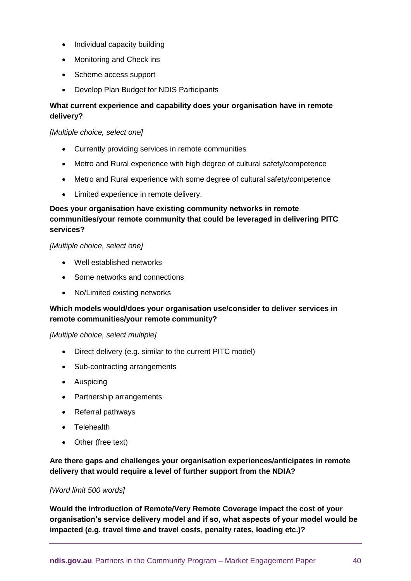- Individual capacity building
- Monitoring and Check ins
- Scheme access support
- Develop Plan Budget for NDIS Participants

# **What current experience and capability does your organisation have in remote delivery?**

#### *[Multiple choice, select one]*

- Currently providing services in remote communities
- Metro and Rural experience with high degree of cultural safety/competence
- Metro and Rural experience with some degree of cultural safety/competence
- Limited experience in remote delivery.

# **Does your organisation have existing community networks in remote communities/your remote community that could be leveraged in delivering PITC services?**

#### *[Multiple choice, select one]*

- Well established networks
- Some networks and connections
- No/Limited existing networks

# **Which models would/does your organisation use/consider to deliver services in remote communities/your remote community?**

#### *[Multiple choice, select multiple]*

- Direct delivery (e.g. similar to the current PITC model)
- Sub-contracting arrangements
- Auspicing
- Partnership arrangements
- Referral pathways
- Telehealth
- Other (free text)

**Are there gaps and challenges your organisation experiences/anticipates in remote delivery that would require a level of further support from the NDIA?**

#### *[Word limit 500 words]*

**Would the introduction of Remote/Very Remote Coverage impact the cost of your organisation's service delivery model and if so, what aspects of your model would be impacted (e.g. travel time and travel costs, penalty rates, loading etc.)?**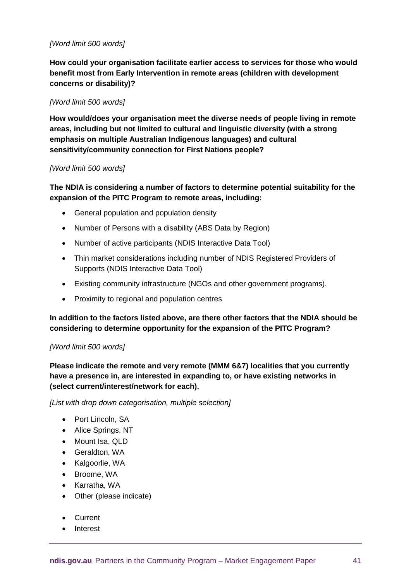## *[Word limit 500 words]*

**How could your organisation facilitate earlier access to services for those who would benefit most from Early Intervention in remote areas (children with development concerns or disability)?**

#### *[Word limit 500 words]*

**How would/does your organisation meet the diverse needs of people living in remote areas, including but not limited to cultural and linguistic diversity (with a strong emphasis on multiple Australian Indigenous languages) and cultural sensitivity/community connection for First Nations people?**

#### *[Word limit 500 words]*

# **The NDIA is considering a number of factors to determine potential suitability for the expansion of the PITC Program to remote areas, including:**

- General population and population density
- Number of Persons with a disability [\(ABS Data by Region\)](https://dbr.abs.gov.au/)
- Number of active participants [\(NDIS Interactive Data Tool\)](https://data.ndis.gov.au/explore-data)
- Thin market considerations including number of NDIS Registered Providers of Supports [\(NDIS Interactive Data Tool\)](https://data.ndis.gov.au/explore-data)
- Existing community infrastructure (NGOs and other government programs).
- Proximity to regional and population centres

**In addition to the factors listed above, are there other factors that the NDIA should be considering to determine opportunity for the expansion of the PITC Program?**

#### *[Word limit 500 words]*

**Please indicate the remote and very remote (MMM 6&7) localities that you currently have a presence in, are interested in expanding to, or have existing networks in (select current/interest/network for each).**

*[List with drop down categorisation, multiple selection]*

- Port Lincoln, SA
- Alice Springs, NT
- Mount Isa, QLD
- Geraldton, WA
- Kalgoorlie, WA
- Broome, WA
- Karratha, WA
- Other (please indicate)
- Current
- Interest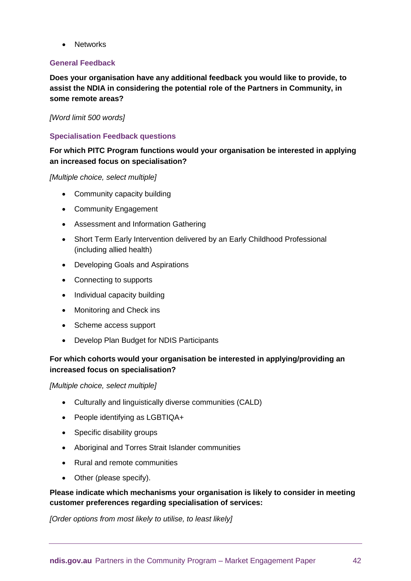**Networks** 

#### **General Feedback**

**Does your organisation have any additional feedback you would like to provide, to assist the NDIA in considering the potential role of the Partners in Community, in some remote areas?**

#### *[Word limit 500 words]*

## **Specialisation Feedback questions**

# **For which PITC Program functions would your organisation be interested in applying an increased focus on specialisation?**

*[Multiple choice, select multiple]*

- Community capacity building
- Community Engagement
- Assessment and Information Gathering
- Short Term Early Intervention delivered by an Early Childhood Professional (including allied health)
- Developing Goals and Aspirations
- Connecting to supports
- Individual capacity building
- Monitoring and Check ins
- Scheme access support
- Develop Plan Budget for NDIS Participants

# **For which cohorts would your organisation be interested in applying/providing an increased focus on specialisation?**

*[Multiple choice, select multiple]*

- Culturally and linguistically diverse communities (CALD)
- People identifying as LGBTIQA+
- Specific disability groups
- Aboriginal and Torres Strait Islander communities
- Rural and remote communities
- Other (please specify).

# **Please indicate which mechanisms your organisation is likely to consider in meeting customer preferences regarding specialisation of services:**

*[Order options from most likely to utilise, to least likely]*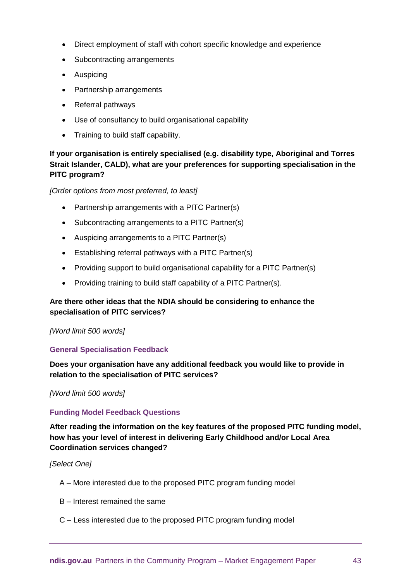- Direct employment of staff with cohort specific knowledge and experience
- Subcontracting arrangements
- Auspicing
- Partnership arrangements
- Referral pathways
- Use of consultancy to build organisational capability
- Training to build staff capability.

# **If your organisation is entirely specialised (e.g. disability type, Aboriginal and Torres Strait Islander, CALD), what are your preferences for supporting specialisation in the PITC program?**

*[Order options from most preferred, to least]*

- Partnership arrangements with a PITC Partner(s)
- Subcontracting arrangements to a PITC Partner(s)
- Auspicing arrangements to a PITC Partner(s)
- Establishing referral pathways with a PITC Partner(s)
- Providing support to build organisational capability for a PITC Partner(s)
- Providing training to build staff capability of a PITC Partner(s).

# **Are there other ideas that the NDIA should be considering to enhance the specialisation of PITC services?**

#### *[Word limit 500 words]*

#### **General Specialisation Feedback**

**Does your organisation have any additional feedback you would like to provide in relation to the specialisation of PITC services?**

#### *[Word limit 500 words]*

#### **Funding Model Feedback Questions**

**After reading the information on the key features of the proposed PITC funding model, how has your level of interest in delivering Early Childhood and/or Local Area Coordination services changed?** 

*[Select One]*

- A More interested due to the proposed PITC program funding model
- B Interest remained the same
- C Less interested due to the proposed PITC program funding model